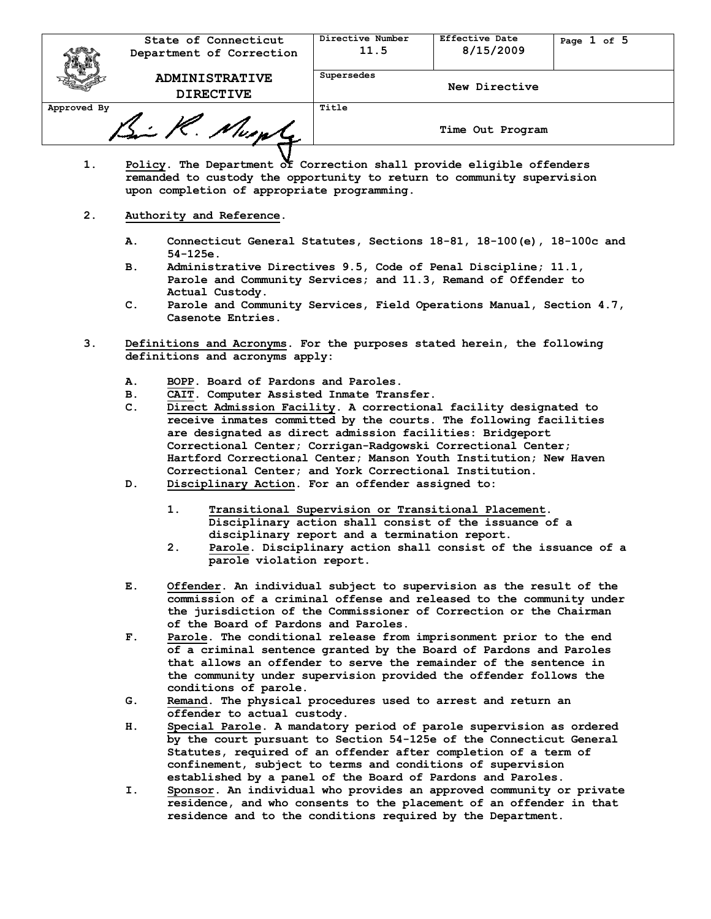|             | State of Connecticut<br>Department of Correction | Directive Number<br>11.5 | Effective Date<br>8/15/2009 | Page 1 of 5 |
|-------------|--------------------------------------------------|--------------------------|-----------------------------|-------------|
|             | <b>ADMINISTRATIVE</b><br><b>DIRECTIVE</b>        | Supersedes               | New Directive               |             |
| Approved By |                                                  | Title                    |                             |             |
| Bi R. Numl  |                                                  |                          | Time Out Program            |             |

- **1. Policy. The Department of Correction shall provide eligible offenders remanded to custody the opportunity to return to community supervision upon completion of appropriate programming.**
- **2. Authority and Reference.**
	- **A. Connecticut General Statutes, Sections 18-81, 18-100(e), 18-100c and 54-125e.**
	- **B. Administrative Directives 9.5, Code of Penal Discipline; 11.1, Parole and Community Services; and 11.3, Remand of Offender to Actual Custody.**
	- **C. Parole and Community Services, Field Operations Manual, Section 4.7, Casenote Entries.**
- **3. Definitions and Acronyms. For the purposes stated herein, the following definitions and acronyms apply:**
	- **A. BOPP. Board of Pardons and Paroles.**
	- **B. CAIT. Computer Assisted Inmate Transfer.**
	- **C. Direct Admission Facility. A correctional facility designated to receive inmates committed by the courts. The following facilities are designated as direct admission facilities: Bridgeport Correctional Center; Corrigan-Radgowski Correctional Center; Hartford Correctional Center; Manson Youth Institution; New Haven Correctional Center; and York Correctional Institution.**
	- **D. Disciplinary Action. For an offender assigned to:**
		- **1. Transitional Supervision or Transitional Placement. Disciplinary action shall consist of the issuance of a disciplinary report and a termination report.**
		- **2. Parole. Disciplinary action shall consist of the issuance of a parole violation report.**
	- **E. Offender. An individual subject to supervision as the result of the commission of a criminal offense and released to the community under the jurisdiction of the Commissioner of Correction or the Chairman of the Board of Pardons and Paroles.**
	- **F. Parole. The conditional release from imprisonment prior to the end of a criminal sentence granted by the Board of Pardons and Paroles that allows an offender to serve the remainder of the sentence in the community under supervision provided the offender follows the conditions of parole.**
	- **G. Remand. The physical procedures used to arrest and return an offender to actual custody.**
	- **H. Special Parole. A mandatory period of parole supervision as ordered by the court pursuant to Section 54-125e of the Connecticut General Statutes, required of an offender after completion of a term of confinement, subject to terms and conditions of supervision established by a panel of the Board of Pardons and Paroles.**
	- **I. Sponsor. An individual who provides an approved community or private residence, and who consents to the placement of an offender in that residence and to the conditions required by the Department.**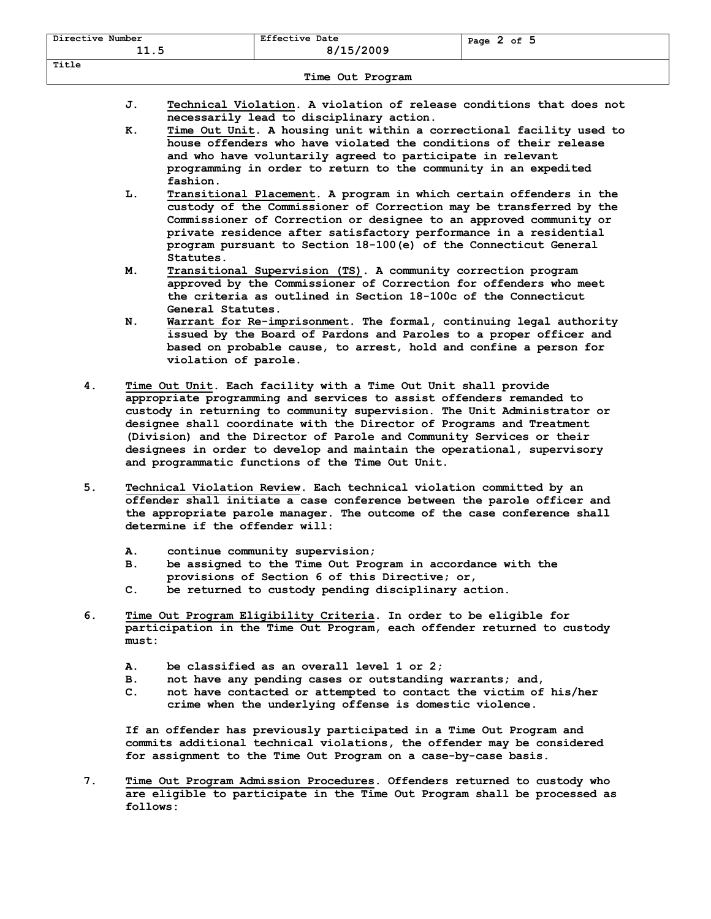| Directive Number<br>11.5 | <b>Effective Date</b><br>8/15/2009 | Page $2$ of $5$ |  |  |  |
|--------------------------|------------------------------------|-----------------|--|--|--|
| Title                    |                                    |                 |  |  |  |
| Time Out Program         |                                    |                 |  |  |  |

- **J. Technical Violation. A violation of release conditions that does not** 
	- **necessarily lead to disciplinary action. K. Time Out Unit. A housing unit within a correctional facility used to house offenders who have violated the conditions of their release and who have voluntarily agreed to participate in relevant programming in order to return to the community in an expedited fashion.**
	- **L. Transitional Placement. A program in which certain offenders in the custody of the Commissioner of Correction may be transferred by the Commissioner of Correction or designee to an approved community or private residence after satisfactory performance in a residential program pursuant to Section 18-100(e) of the Connecticut General Statutes.**
	- **M. Transitional Supervision (TS). A community correction program approved by the Commissioner of Correction for offenders who meet the criteria as outlined in Section 18-100c of the Connecticut General Statutes.**
	- **N. Warrant for Re-imprisonment. The formal, continuing legal authority issued by the Board of Pardons and Paroles to a proper officer and based on probable cause, to arrest, hold and confine a person for violation of parole.**
- **4. Time Out Unit. Each facility with a Time Out Unit shall provide appropriate programming and services to assist offenders remanded to custody in returning to community supervision. The Unit Administrator or designee shall coordinate with the Director of Programs and Treatment (Division) and the Director of Parole and Community Services or their designees in order to develop and maintain the operational, supervisory and programmatic functions of the Time Out Unit.**
- **5. Technical Violation Review. Each technical violation committed by an offender shall initiate a case conference between the parole officer and the appropriate parole manager. The outcome of the case conference shall determine if the offender will:**
	- **A. continue community supervision;**
	- **B. be assigned to the Time Out Program in accordance with the provisions of Section 6 of this Directive; or,**
	- **C. be returned to custody pending disciplinary action.**
- **6. Time Out Program Eligibility Criteria. In order to be eligible for participation in the Time Out Program, each offender returned to custody must:**
	- **A. be classified as an overall level 1 or 2;**
	- **B. not have any pending cases or outstanding warrants; and,**
	- **C. not have contacted or attempted to contact the victim of his/her crime when the underlying offense is domestic violence.**

**If an offender has previously participated in a Time Out Program and commits additional technical violations, the offender may be considered for assignment to the Time Out Program on a case-by-case basis.**

**7. Time Out Program Admission Procedures. Offenders returned to custody who are eligible to participate in the Time Out Program shall be processed as follows:**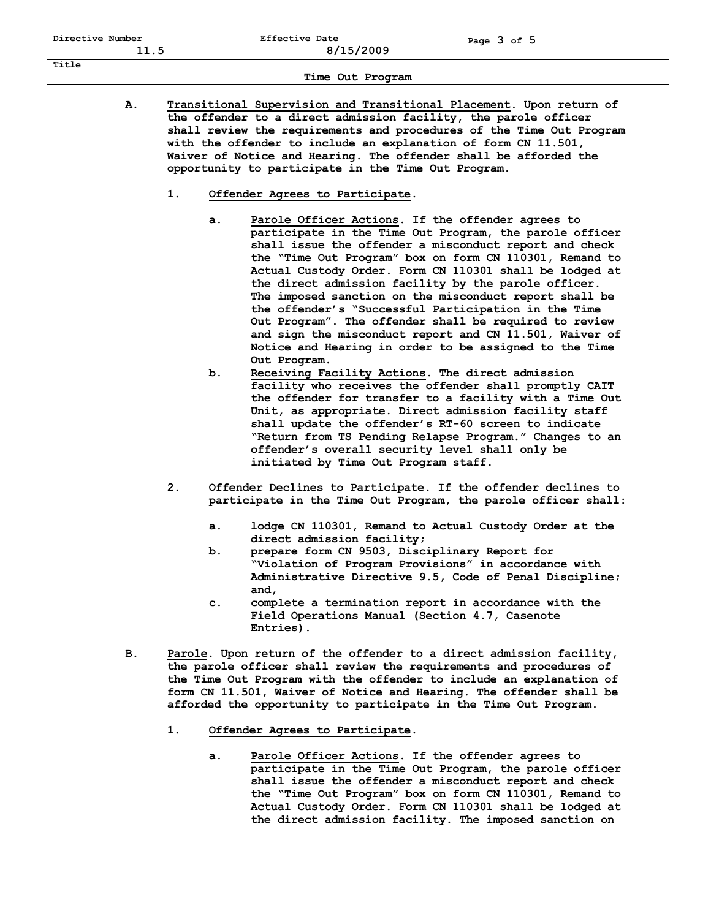| Directive Number<br>11.5 | <b>Effective Date</b><br>8/15/2009 | Page $3$ of $5$ |  |  |  |
|--------------------------|------------------------------------|-----------------|--|--|--|
| Title                    |                                    |                 |  |  |  |
| Time Out Program         |                                    |                 |  |  |  |

- **A. Transitional Supervision and Transitional Placement. Upon return of the offender to a direct admission facility, the parole officer shall review the requirements and procedures of the Time Out Program with the offender to include an explanation of form CN 11.501, Waiver of Notice and Hearing. The offender shall be afforded the opportunity to participate in the Time Out Program.**
	- **1. Offender Agrees to Participate.** 
		- **a. Parole Officer Actions. If the offender agrees to participate in the Time Out Program, the parole officer shall issue the offender a misconduct report and check the "Time Out Program" box on form CN 110301, Remand to Actual Custody Order. Form CN 110301 shall be lodged at the direct admission facility by the parole officer. The imposed sanction on the misconduct report shall be the offender's "Successful Participation in the Time Out Program". The offender shall be required to review and sign the misconduct report and CN 11.501, Waiver of Notice and Hearing in order to be assigned to the Time Out Program.**
		- **b. Receiving Facility Actions. The direct admission facility who receives the offender shall promptly CAIT the offender for transfer to a facility with a Time Out Unit, as appropriate. Direct admission facility staff shall update the offender's RT-60 screen to indicate "Return from TS Pending Relapse Program." Changes to an offender's overall security level shall only be initiated by Time Out Program staff.**
	- **2. Offender Declines to Participate. If the offender declines to participate in the Time Out Program, the parole officer shall:**
		- **a. lodge CN 110301, Remand to Actual Custody Order at the direct admission facility;**
		- **b. prepare form CN 9503, Disciplinary Report for "Violation of Program Provisions" in accordance with Administrative Directive 9.5, Code of Penal Discipline; and,**
		- **c. complete a termination report in accordance with the Field Operations Manual (Section 4.7, Casenote Entries).**
- **B. Parole. Upon return of the offender to a direct admission facility, the parole officer shall review the requirements and procedures of the Time Out Program with the offender to include an explanation of form CN 11.501, Waiver of Notice and Hearing. The offender shall be afforded the opportunity to participate in the Time Out Program.**
	- **1. Offender Agrees to Participate.**
		- **a. Parole Officer Actions. If the offender agrees to participate in the Time Out Program, the parole officer shall issue the offender a misconduct report and check the "Time Out Program" box on form CN 110301, Remand to Actual Custody Order. Form CN 110301 shall be lodged at the direct admission facility. The imposed sanction on**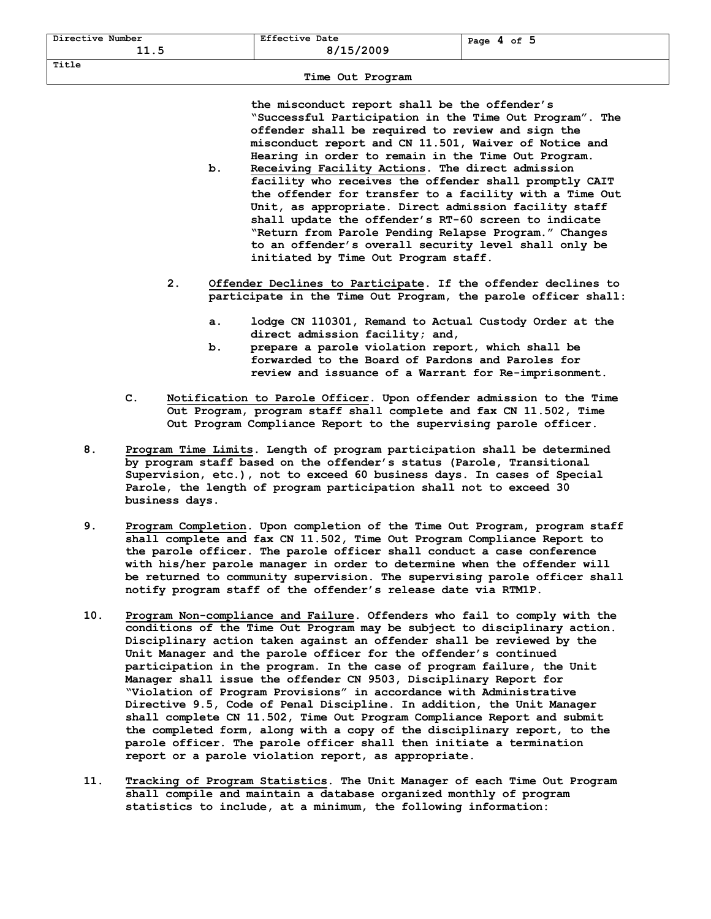**Title** 

**the misconduct report shall be the offender's "Successful Participation in the Time Out Program". The offender shall be required to review and sign the misconduct report and CN 11.501, Waiver of Notice and Hearing in order to remain in the Time Out Program.**

- **b. Receiving Facility Actions. The direct admission facility who receives the offender shall promptly CAIT the offender for transfer to a facility with a Time Out Unit, as appropriate. Direct admission facility staff shall update the offender's RT-60 screen to indicate "Return from Parole Pending Relapse Program." Changes to an offender's overall security level shall only be initiated by Time Out Program staff.**
- **2. Offender Declines to Participate. If the offender declines to participate in the Time Out Program, the parole officer shall:**
	- **a. lodge CN 110301, Remand to Actual Custody Order at the direct admission facility; and,**
	- **b. prepare a parole violation report, which shall be forwarded to the Board of Pardons and Paroles for review and issuance of a Warrant for Re-imprisonment.**
- **C. Notification to Parole Officer. Upon offender admission to the Time Out Program, program staff shall complete and fax CN 11.502, Time Out Program Compliance Report to the supervising parole officer.**
- **8. Program Time Limits. Length of program participation shall be determined by program staff based on the offender's status (Parole, Transitional Supervision, etc.), not to exceed 60 business days. In cases of Special Parole, the length of program participation shall not to exceed 30 business days.**
- **9. Program Completion. Upon completion of the Time Out Program, program staff shall complete and fax CN 11.502, Time Out Program Compliance Report to the parole officer. The parole officer shall conduct a case conference with his/her parole manager in order to determine when the offender will be returned to community supervision. The supervising parole officer shall notify program staff of the offender's release date via RTM1P.**
- **10. Program Non-compliance and Failure. Offenders who fail to comply with the conditions of the Time Out Program may be subject to disciplinary action. Disciplinary action taken against an offender shall be reviewed by the Unit Manager and the parole officer for the offender's continued participation in the program. In the case of program failure, the Unit Manager shall issue the offender CN 9503, Disciplinary Report for "Violation of Program Provisions" in accordance with Administrative Directive 9.5, Code of Penal Discipline. In addition, the Unit Manager shall complete CN 11.502, Time Out Program Compliance Report and submit the completed form, along with a copy of the disciplinary report, to the parole officer. The parole officer shall then initiate a termination report or a parole violation report, as appropriate.**
- **11. Tracking of Program Statistics. The Unit Manager of each Time Out Program shall compile and maintain a database organized monthly of program statistics to include, at a minimum, the following information:**